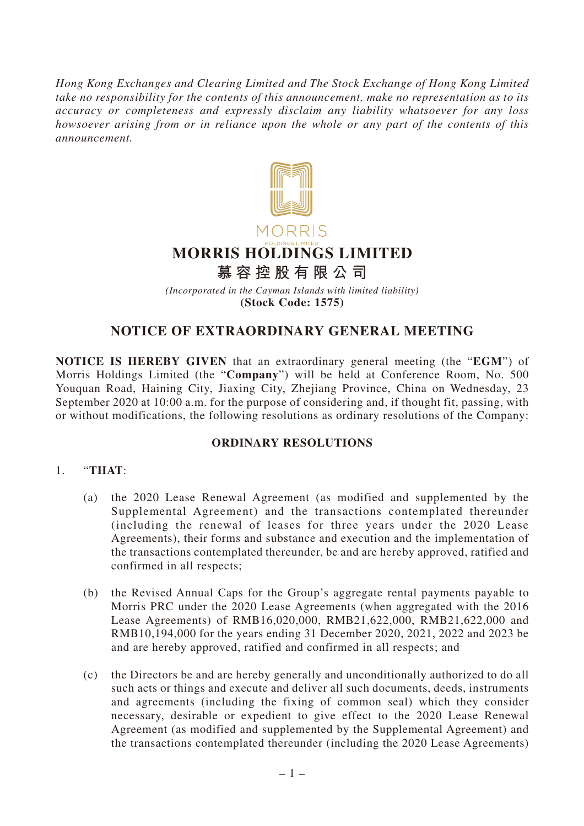*Hong Kong Exchanges and Clearing Limited and The Stock Exchange of Hong Kong Limited take no responsibility for the contents of this announcement, make no representation as to its accuracy or completeness and expressly disclaim any liability whatsoever for any loss howsoever arising from or in reliance upon the whole or any part of the contents of this announcement.*



*(Incorporated in the Cayman Islands with limited liability)* **(Stock Code: 1575)**

## **NOTICE OF EXTRAORDINARY GENERAL MEETING**

**NOTICE IS HEREBY GIVEN** that an extraordinary general meeting (the "**EGM**") of Morris Holdings Limited (the "**Company**") will be held at Conference Room, No. 500 Youquan Road, Haining City, Jiaxing City, Zhejiang Province, China on Wednesday, 23 September 2020 at 10:00 a.m. for the purpose of considering and, if thought fit, passing, with or without modifications, the following resolutions as ordinary resolutions of the Company:

## **ORDINARY RESOLUTIONS**

## 1. "**THAT**:

- (a) the 2020 Lease Renewal Agreement (as modified and supplemented by the Supplemental Agreement) and the transactions contemplated thereunder (including the renewal of leases for three years under the 2020 Lease Agreements), their forms and substance and execution and the implementation of the transactions contemplated thereunder, be and are hereby approved, ratified and confirmed in all respects;
- (b) the Revised Annual Caps for the Group's aggregate rental payments payable to Morris PRC under the 2020 Lease Agreements (when aggregated with the 2016 Lease Agreements) of RMB16,020,000, RMB21,622,000, RMB21,622,000 and RMB10,194,000 for the years ending 31 December 2020, 2021, 2022 and 2023 be and are hereby approved, ratified and confirmed in all respects; and
- (c) the Directors be and are hereby generally and unconditionally authorized to do all such acts or things and execute and deliver all such documents, deeds, instruments and agreements (including the fixing of common seal) which they consider necessary, desirable or expedient to give effect to the 2020 Lease Renewal Agreement (as modified and supplemented by the Supplemental Agreement) and the transactions contemplated thereunder (including the 2020 Lease Agreements)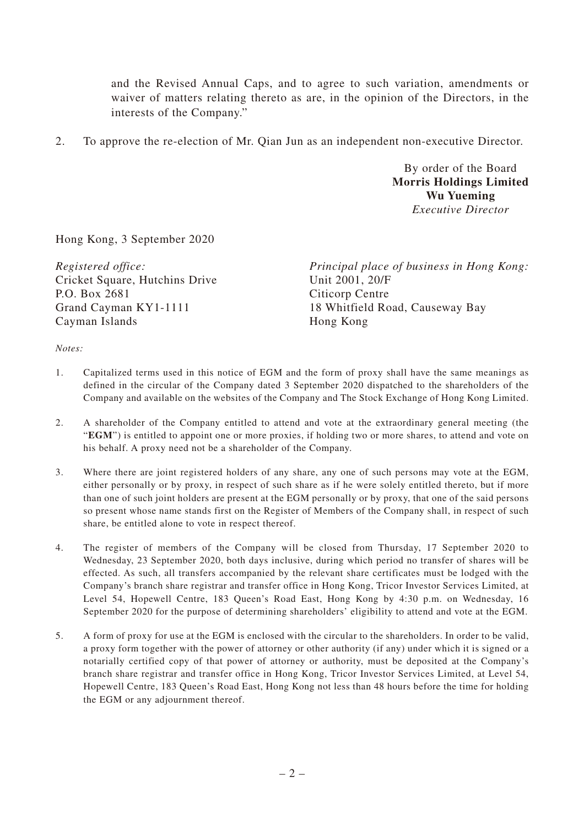and the Revised Annual Caps, and to agree to such variation, amendments or waiver of matters relating thereto as are, in the opinion of the Directors, in the interests of the Company."

2. To approve the re-election of Mr. Qian Jun as an independent non-executive Director.

By order of the Board **Morris Holdings Limited Wu Yueming** *Executive Director*

Hong Kong, 3 September 2020

*Registered office:* Cricket Square, Hutchins Drive P.O. Box 2681 Grand Cayman KY1-1111 Cayman Islands

*Principal place of business in Hong Kong:* Unit 2001, 20/F Citicorp Centre 18 Whitfield Road, Causeway Bay Hong Kong

*Notes:*

- 1. Capitalized terms used in this notice of EGM and the form of proxy shall have the same meanings as defined in the circular of the Company dated 3 September 2020 dispatched to the shareholders of the Company and available on the websites of the Company and The Stock Exchange of Hong Kong Limited.
- 2. A shareholder of the Company entitled to attend and vote at the extraordinary general meeting (the "**EGM**") is entitled to appoint one or more proxies, if holding two or more shares, to attend and vote on his behalf. A proxy need not be a shareholder of the Company.
- 3. Where there are joint registered holders of any share, any one of such persons may vote at the EGM, either personally or by proxy, in respect of such share as if he were solely entitled thereto, but if more than one of such joint holders are present at the EGM personally or by proxy, that one of the said persons so present whose name stands first on the Register of Members of the Company shall, in respect of such share, be entitled alone to vote in respect thereof.
- 4. The register of members of the Company will be closed from Thursday, 17 September 2020 to Wednesday, 23 September 2020, both days inclusive, during which period no transfer of shares will be effected. As such, all transfers accompanied by the relevant share certificates must be lodged with the Company's branch share registrar and transfer office in Hong Kong, Tricor Investor Services Limited, at Level 54, Hopewell Centre, 183 Queen's Road East, Hong Kong by 4:30 p.m. on Wednesday, 16 September 2020 for the purpose of determining shareholders' eligibility to attend and vote at the EGM.
- 5. A form of proxy for use at the EGM is enclosed with the circular to the shareholders. In order to be valid, a proxy form together with the power of attorney or other authority (if any) under which it is signed or a notarially certified copy of that power of attorney or authority, must be deposited at the Company's branch share registrar and transfer office in Hong Kong, Tricor Investor Services Limited, at Level 54, Hopewell Centre, 183 Queen's Road East, Hong Kong not less than 48 hours before the time for holding the EGM or any adjournment thereof.